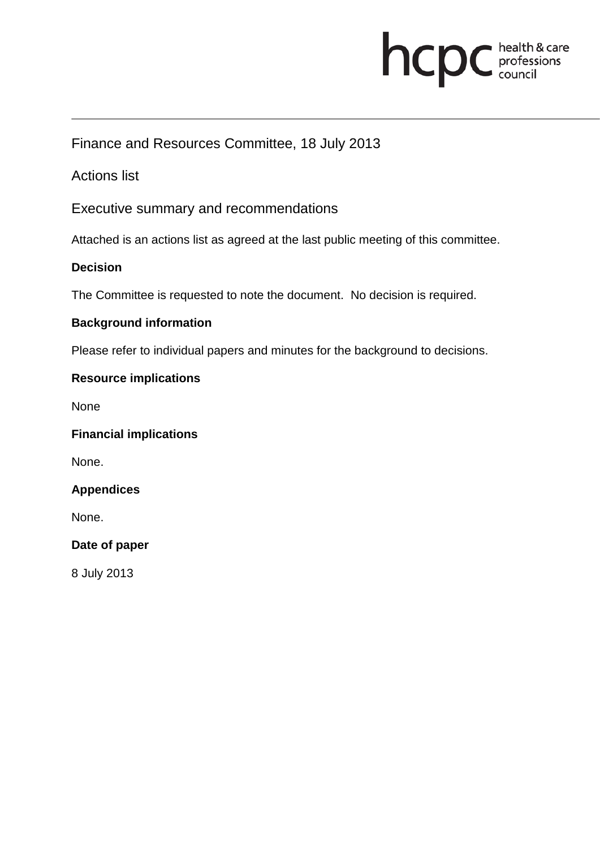# **health & care**

## Finance and Resources Committee, 18 July 2013

## Actions list

Executive summary and recommendations

Attached is an actions list as agreed at the last public meeting of this committee.

#### **Decision**

The Committee is requested to note the document. No decision is required.

#### **Background information**

Please refer to individual papers and minutes for the background to decisions.

#### **Resource implications**

None

#### **Financial implications**

None.

#### **Appendices**

None.

#### **Date of paper**

8 July 2013